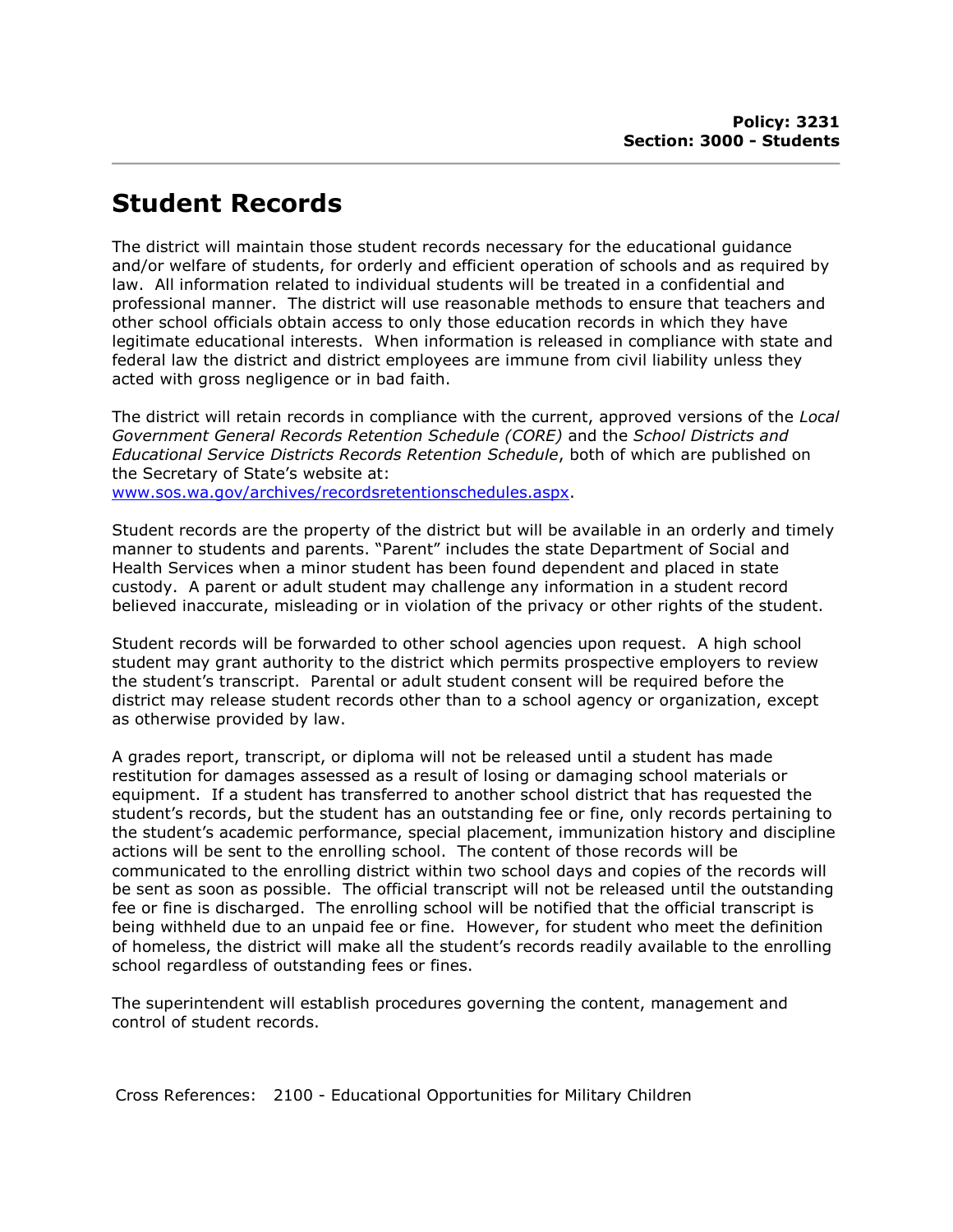## Student Records

The district will maintain those student records necessary for the educational guidance and/or welfare of students, for orderly and efficient operation of schools and as required by law. All information related to individual students will be treated in a confidential and professional manner. The district will use reasonable methods to ensure that teachers and other school officials obtain access to only those education records in which they have legitimate educational interests. When information is released in compliance with state and federal law the district and district employees are immune from civil liability unless they acted with gross negligence or in bad faith.

The district will retain records in compliance with the current, approved versions of the Local Government General Records Retention Schedule (CORE) and the School Districts and Educational Service Districts Records Retention Schedule, both of which are published on the Secretary of State's website at: www.sos.wa.gov/archives/recordsretentionschedules.aspx.

Student records are the property of the district but will be available in an orderly and timely manner to students and parents. "Parent" includes the state Department of Social and Health Services when a minor student has been found dependent and placed in state custody. A parent or adult student may challenge any information in a student record believed inaccurate, misleading or in violation of the privacy or other rights of the student.

Student records will be forwarded to other school agencies upon request. A high school student may grant authority to the district which permits prospective employers to review the student's transcript. Parental or adult student consent will be required before the district may release student records other than to a school agency or organization, except as otherwise provided by law.

A grades report, transcript, or diploma will not be released until a student has made restitution for damages assessed as a result of losing or damaging school materials or equipment. If a student has transferred to another school district that has requested the student's records, but the student has an outstanding fee or fine, only records pertaining to the student's academic performance, special placement, immunization history and discipline actions will be sent to the enrolling school. The content of those records will be communicated to the enrolling district within two school days and copies of the records will be sent as soon as possible. The official transcript will not be released until the outstanding fee or fine is discharged. The enrolling school will be notified that the official transcript is being withheld due to an unpaid fee or fine. However, for student who meet the definition of homeless, the district will make all the student's records readily available to the enrolling school regardless of outstanding fees or fines.

The superintendent will establish procedures governing the content, management and control of student records.

Cross References: 2100 - Educational Opportunities for Military Children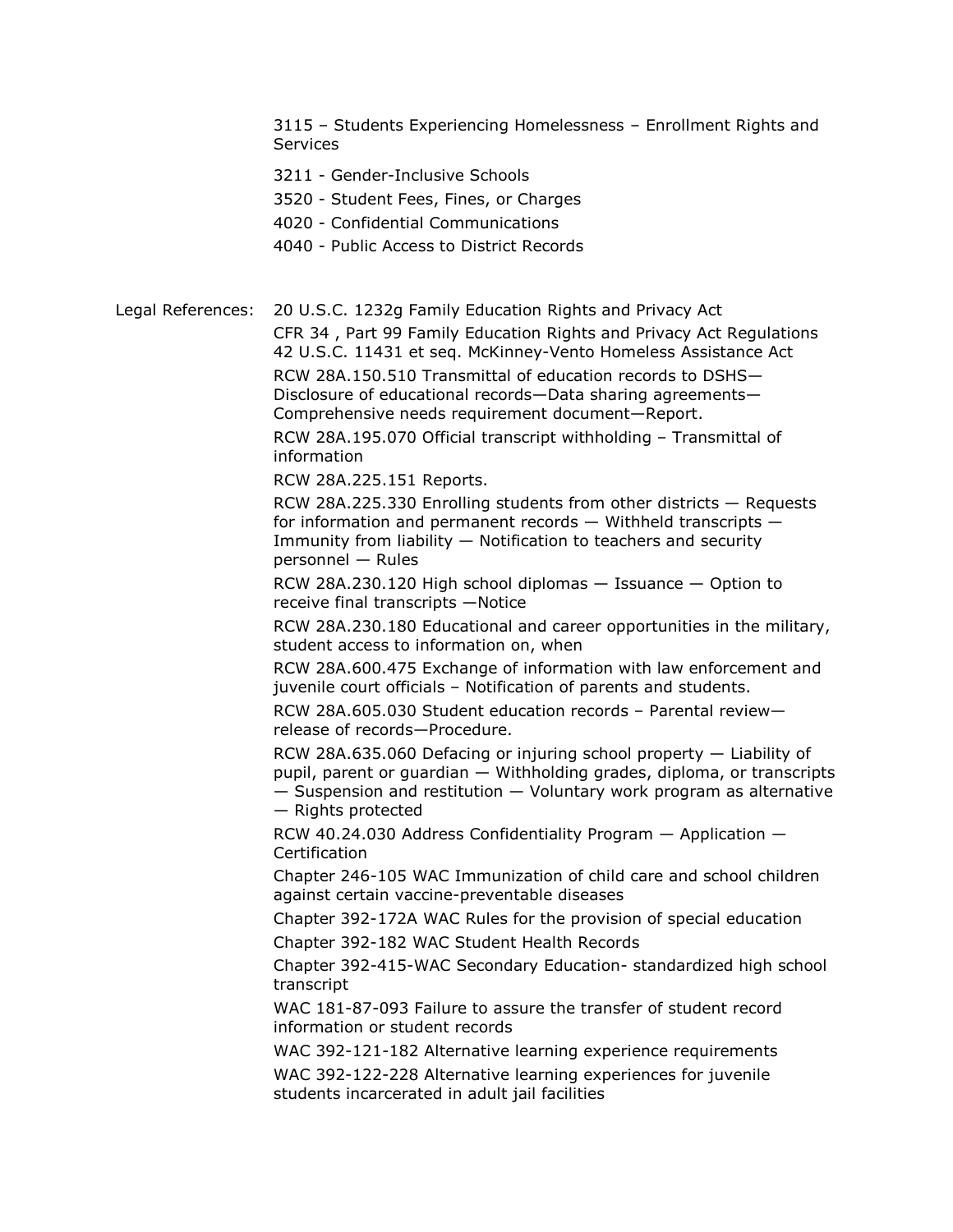3115 – Students Experiencing Homelessness – Enrollment Rights and **Services** 

3211 - Gender-Inclusive Schools

3520 - Student Fees, Fines, or Charges

4020 - Confidential Communications

4040 - Public Access to District Records

Legal References: 20 U.S.C. 1232g Family Education Rights and Privacy Act

CFR 34 , Part 99 Family Education Rights and Privacy Act Regulations 42 U.S.C. 11431 et seq. McKinney-Vento Homeless Assistance Act RCW 28A.150.510 Transmittal of education records to DSHS— Disclosure of educational records—Data sharing agreements— Comprehensive needs requirement document—Report.

RCW 28A.195.070 Official transcript withholding – Transmittal of information

RCW 28A.225.151 Reports.

RCW 28A.225.330 Enrolling students from other districts — Requests for information and permanent records — Withheld transcripts — Immunity from liability — Notification to teachers and security personnel — Rules

RCW 28A.230.120 High school diplomas — Issuance — Option to receive final transcripts —Notice

RCW 28A.230.180 Educational and career opportunities in the military, student access to information on, when

RCW 28A.600.475 Exchange of information with law enforcement and juvenile court officials – Notification of parents and students.

RCW 28A.605.030 Student education records – Parental review release of records—Procedure.

RCW 28A.635.060 Defacing or injuring school property — Liability of pupil, parent or guardian — Withholding grades, diploma, or transcripts — Suspension and restitution — Voluntary work program as alternative

— Rights protected

RCW 40.24.030 Address Confidentiality Program — Application — Certification

Chapter 246-105 WAC Immunization of child care and school children against certain vaccine-preventable diseases

Chapter 392-172A WAC Rules for the provision of special education

Chapter 392-182 WAC Student Health Records

Chapter 392-415-WAC Secondary Education- standardized high school transcript

WAC 181-87-093 Failure to assure the transfer of student record information or student records

WAC 392-121-182 Alternative learning experience requirements

WAC 392-122-228 Alternative learning experiences for juvenile students incarcerated in adult jail facilities